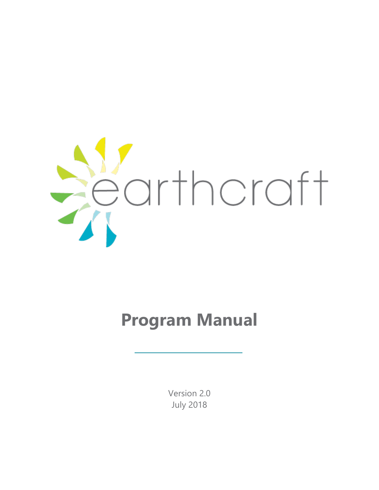

# **Program Manual**

Version 2.0 July 2018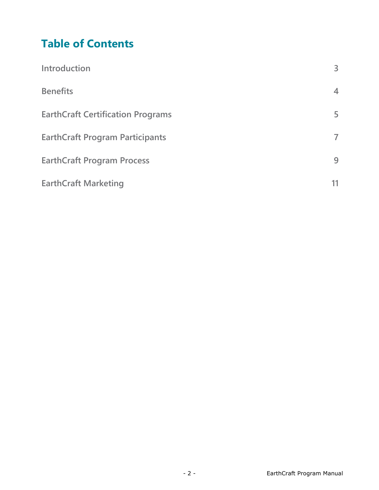# **Table of Contents**

| Introduction                             | 3              |
|------------------------------------------|----------------|
| <b>Benefits</b>                          | $\overline{4}$ |
| <b>EarthCraft Certification Programs</b> | 5              |
| <b>EarthCraft Program Participants</b>   | $\overline{7}$ |
| <b>EarthCraft Program Process</b>        | 9              |
| <b>EarthCraft Marketing</b>              |                |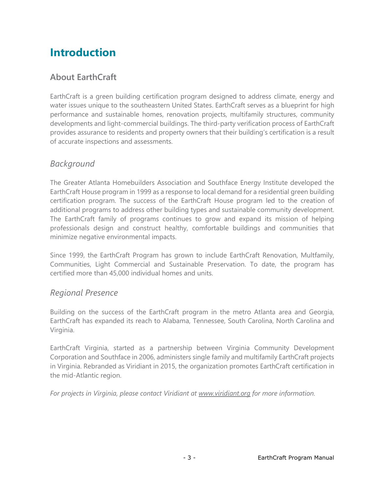# **Introduction**

### **About EarthCraft**

EarthCraft is a green building certification program designed to address climate, energy and water issues unique to the southeastern United States. EarthCraft serves as a blueprint for high performance and sustainable homes, renovation projects, multifamily structures, community developments and light-commercial buildings. The third-party verification process of EarthCraft provides assurance to residents and property owners that their building's certification is a result of accurate inspections and assessments.

#### *Background*

The Greater Atlanta Homebuilders Association and Southface Energy Institute developed the EarthCraft House program in 1999 as a response to local demand for a residential green building certification program. The success of the EarthCraft House program led to the creation of additional programs to address other building types and sustainable community development. The EarthCraft family of programs continues to grow and expand its mission of helping professionals design and construct healthy, comfortable buildings and communities that minimize negative environmental impacts.

Since 1999, the EarthCraft Program has grown to include EarthCraft Renovation, Multfamily, Communities, Light Commercial and Sustainable Preservation. To date, the program has certified more than 45,000 individual homes and units.

#### *Regional Presence*

Building on the success of the EarthCraft program in the metro Atlanta area and Georgia, EarthCraft has expanded its reach to Alabama, Tennessee, South Carolina, North Carolina and Virginia.

EarthCraft Virginia, started as a partnership between Virginia Community Development Corporation and Southface in 2006, administers single family and multifamily EarthCraft projects in Virginia. Rebranded as Viridiant in 2015, the organization promotes EarthCraft certification in the mid-Atlantic region.

*For projects in Virginia, please contact Viridiant at [www.viridiant.org](http://www.viridiant.org/) for more information.*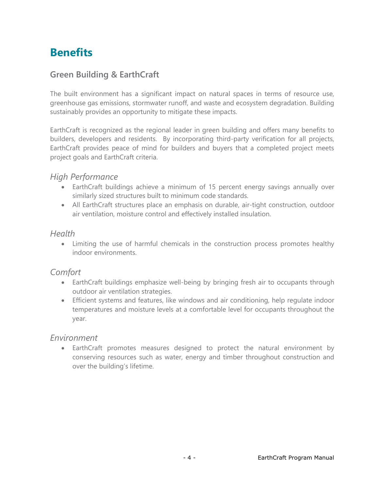# **Benefits**

#### **Green Building & EarthCraft**

The built environment has a significant impact on natural spaces in terms of resource use, greenhouse gas emissions, stormwater runoff, and waste and ecosystem degradation. Building sustainably provides an opportunity to mitigate these impacts.

EarthCraft is recognized as the regional leader in green building and offers many benefits to builders, developers and residents. By incorporating third-party verification for all projects, EarthCraft provides peace of mind for builders and buyers that a completed project meets project goals and EarthCraft criteria.

#### *High Performance*

- EarthCraft buildings achieve a minimum of 15 percent energy savings annually over similarly sized structures built to minimum code standards.
- All EarthCraft structures place an emphasis on durable, air-tight construction, outdoor air ventilation, moisture control and effectively installed insulation.

#### *Health*

 Limiting the use of harmful chemicals in the construction process promotes healthy indoor environments.

#### *Comfort*

- EarthCraft buildings emphasize well-being by bringing fresh air to occupants through outdoor air ventilation strategies.
- Efficient systems and features, like windows and air conditioning, help regulate indoor temperatures and moisture levels at a comfortable level for occupants throughout the year.

#### *Environment*

 EarthCraft promotes measures designed to protect the natural environment by conserving resources such as water, energy and timber throughout construction and over the building's lifetime.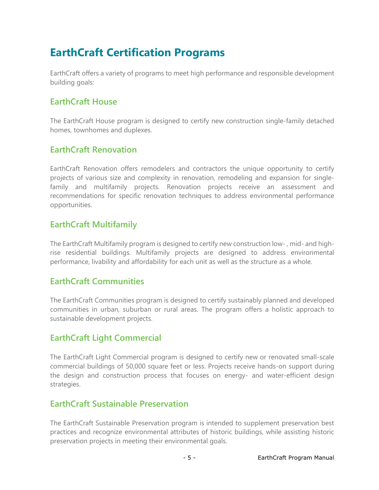# **EarthCraft Certification Programs**

EarthCraft offers a variety of programs to meet high performance and responsible development building goals:

#### **EarthCraft House**

The EarthCraft House program is designed to certify new construction single-family detached homes, townhomes and duplexes.

#### **EarthCraft Renovation**

EarthCraft Renovation offers remodelers and contractors the unique opportunity to certify projects of various size and complexity in renovation, remodeling and expansion for singlefamily and multifamily projects. Renovation projects receive an assessment and recommendations for specific renovation techniques to address environmental performance opportunities.

#### **EarthCraft Multifamily**

The EarthCraft Multifamily program is designed to certify new construction low- , mid- and highrise residential buildings. Multifamily projects are designed to address environmental performance, livability and affordability for each unit as well as the structure as a whole.

#### **EarthCraft Communities**

The EarthCraft Communities program is designed to certify sustainably planned and developed communities in urban, suburban or rural areas. The program offers a holistic approach to sustainable development projects.

#### **EarthCraft Light Commercial**

The EarthCraft Light Commercial program is designed to certify new or renovated small-scale commercial buildings of 50,000 square feet or less. Projects receive hands-on support during the design and construction process that focuses on energy- and water-efficient design strategies.

#### **EarthCraft Sustainable Preservation**

The EarthCraft Sustainable Preservation program is intended to supplement preservation best practices and recognize environmental attributes of historic buildings, while assisting historic preservation projects in meeting their environmental goals.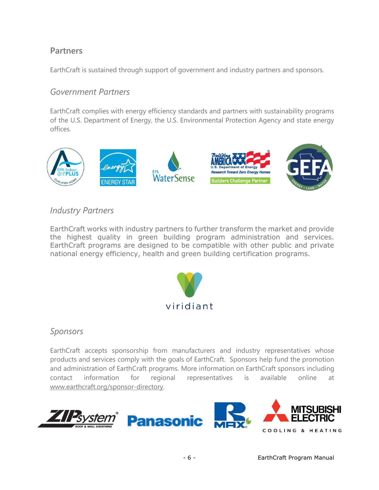#### **Partners**

EarthCraft is sustained through support of government and industry partners and sponsors.

#### *Government Partners*

EarthCraft complies with energy efficiency standards and partners with sustainability programs of the U.S. Department of Energy, the U.S. Environmental Protection Agency and state energy offices.



#### *Industry Partners*

EarthCraft works with industry partners to further transform the market and provide the highest quality in green building program administration and services. EarthCraft programs are designed to be compatible with other public and private national energy efficiency, health and green building certification programs.



#### *Sponsors*

EarthCraft accepts sponsorship from manufacturers and industry representatives whose products and services comply with the goals of EarthCraft. Sponsors help fund the promotion and administration of EarthCraft programs. More information on EarthCraft sponsors including contact information for regional representatives is available online at [www.earthcraft.org/sponsor-directory.](http://www.earthcraft.org/sponsor-directory)

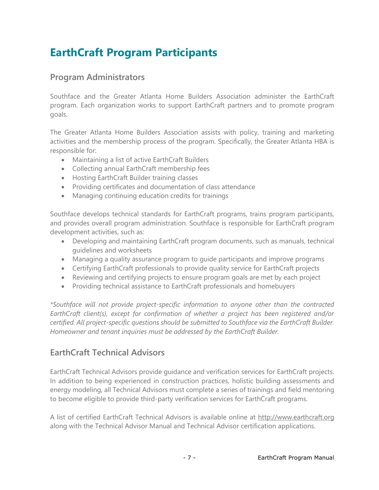# **EarthCraft Program Participants**

#### **Program Administrators**

Southface and the Greater Atlanta Home Builders Association administer the EarthCraft program. Each organization works to support EarthCraft partners and to promote program goals.

The Greater Atlanta Home Builders Association assists with policy, training and marketing activities and the membership process of the program. Specifically, the Greater Atlanta HBA is responsible for:

- Maintaining a list of active EarthCraft Builders
- Collecting annual EarthCraft membership fees
- Hosting EarthCraft Builder training classes
- Providing certificates and documentation of class attendance
- Managing continuing education credits for trainings

Southface develops technical standards for EarthCraft programs, trains program participants, and provides overall program administration. Southface is responsible for EarthCraft program development activities, such as:

- Developing and maintaining EarthCraft program documents, such as manuals, technical guidelines and worksheets
- Managing a quality assurance program to guide participants and improve programs
- Certifying EarthCraft professionals to provide quality service for EarthCraft projects
- Reviewing and certifying projects to ensure program goals are met by each project
- Providing technical assistance to EarthCraft professionals and homebuyers

*\*Southface will not provide project-specific information to anyone other than the contracted EarthCraft client(s), except for confirmation of whether a project has been registered and/or certified. All project-specific questions should be submitted to Southface via the EarthCraft Builder. Homeowner and tenant inquiries must be addressed by the EarthCraft Builder.*

### **EarthCraft Technical Advisors**

EarthCraft Technical Advisors provide guidance and verification services for EarthCraft projects. In addition to being experienced in construction practices, holistic building assessments and energy modeling, all Technical Advisors must complete a series of trainings and field mentoring to become eligible to provide third-party verification services for EarthCraft programs.

A list of certified EarthCraft Technical Advisors is available online at [http://www.earthcraft.org](http://www.earthcraft.org/) along with the Technical Advisor Manual and Technical Advisor certification applications.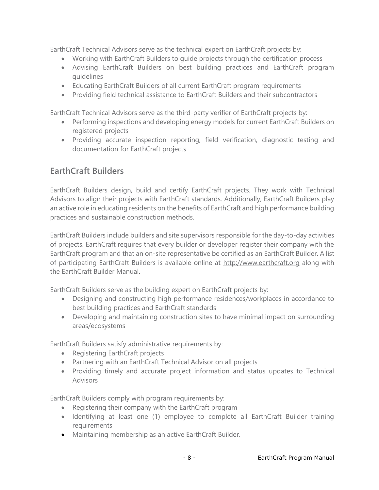EarthCraft Technical Advisors serve as the technical expert on EarthCraft projects by:

- Working with EarthCraft Builders to guide projects through the certification process
- Advising EarthCraft Builders on best building practices and EarthCraft program guidelines
- Educating EarthCraft Builders of all current EarthCraft program requirements
- Providing field technical assistance to EarthCraft Builders and their subcontractors

EarthCraft Technical Advisors serve as the third-party verifier of EarthCraft projects by:

- Performing inspections and developing energy models for current EarthCraft Builders on registered projects
- Providing accurate inspection reporting, field verification, diagnostic testing and documentation for EarthCraft projects

### **EarthCraft Builders**

EarthCraft Builders design, build and certify EarthCraft projects. They work with Technical Advisors to align their projects with EarthCraft standards. Additionally, EarthCraft Builders play an active role in educating residents on the benefits of EarthCraft and high performance building practices and sustainable construction methods.

EarthCraft Builders include builders and site supervisors responsible for the day-to-day activities of projects. EarthCraft requires that every builder or developer register their company with the EarthCraft program and that an on-site representative be certified as an EarthCraft Builder. A list of participating EarthCraft Builders is available online at [http://www.earthcraft.org](http://www.earthcraft.org/) along with the EarthCraft Builder Manual.

EarthCraft Builders serve as the building expert on EarthCraft projects by:

- Designing and constructing high performance residences/workplaces in accordance to best building practices and EarthCraft standards
- Developing and maintaining construction sites to have minimal impact on surrounding areas/ecosystems

EarthCraft Builders satisfy administrative requirements by:

- Registering EarthCraft projects
- Partnering with an EarthCraft Technical Advisor on all projects
- Providing timely and accurate project information and status updates to Technical **Advisors**

EarthCraft Builders comply with program requirements by:

- Registering their company with the EarthCraft program
- Identifying at least one (1) employee to complete all EarthCraft Builder training requirements
- Maintaining membership as an active EarthCraft Builder.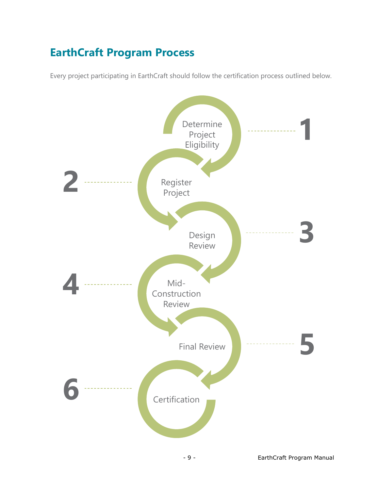# **EarthCraft Program Process**

Every project participating in EarthCraft should follow the certification process outlined below.

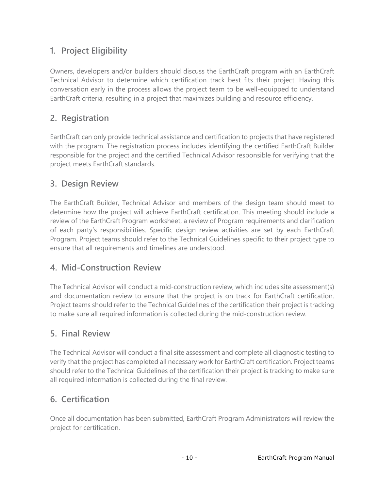## **1. Project Eligibility**

Owners, developers and/or builders should discuss the EarthCraft program with an EarthCraft Technical Advisor to determine which certification track best fits their project. Having this conversation early in the process allows the project team to be well-equipped to understand EarthCraft criteria, resulting in a project that maximizes building and resource efficiency.

### **2. Registration**

EarthCraft can only provide technical assistance and certification to projects that have registered with the program. The registration process includes identifying the certified EarthCraft Builder responsible for the project and the certified Technical Advisor responsible for verifying that the project meets EarthCraft standards.

### **3. Design Review**

The EarthCraft Builder, Technical Advisor and members of the design team should meet to determine how the project will achieve EarthCraft certification. This meeting should include a review of the EarthCraft Program worksheet, a review of Program requirements and clarification of each party's responsibilities. Specific design review activities are set by each EarthCraft Program. Project teams should refer to the Technical Guidelines specific to their project type to ensure that all requirements and timelines are understood.

### **4. Mid-Construction Review**

The Technical Advisor will conduct a mid-construction review, which includes site assessment(s) and documentation review to ensure that the project is on track for EarthCraft certification. Project teams should refer to the Technical Guidelines of the certification their project is tracking to make sure all required information is collected during the mid-construction review.

#### **5. Final Review**

The Technical Advisor will conduct a final site assessment and complete all diagnostic testing to verify that the project has completed all necessary work for EarthCraft certification. Project teams should refer to the Technical Guidelines of the certification their project is tracking to make sure all required information is collected during the final review.

### **6. Certification**

Once all documentation has been submitted, EarthCraft Program Administrators will review the project for certification.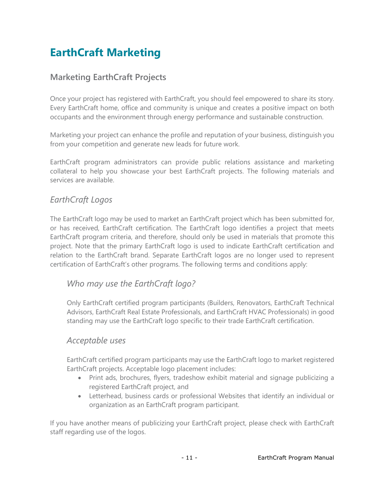# **EarthCraft Marketing**

#### **Marketing EarthCraft Projects**

Once your project has registered with EarthCraft, you should feel empowered to share its story. Every EarthCraft home, office and community is unique and creates a positive impact on both occupants and the environment through energy performance and sustainable construction.

Marketing your project can enhance the profile and reputation of your business, distinguish you from your competition and generate new leads for future work.

EarthCraft program administrators can provide public relations assistance and marketing collateral to help you showcase your best EarthCraft projects. The following materials and services are available.

#### *EarthCraft Logos*

The EarthCraft logo may be used to market an EarthCraft project which has been submitted for, or has received, EarthCraft certification. The EarthCraft logo identifies a project that meets EarthCraft program criteria, and therefore, should only be used in materials that promote this project. Note that the primary EarthCraft logo is used to indicate EarthCraft certification and relation to the EarthCraft brand. Separate EarthCraft logos are no longer used to represent certification of EarthCraft's other programs. The following terms and conditions apply:

#### *Who may use the EarthCraft logo?*

Only EarthCraft certified program participants (Builders, Renovators, EarthCraft Technical Advisors, EarthCraft Real Estate Professionals, and EarthCraft HVAC Professionals) in good standing may use the EarthCraft logo specific to their trade EarthCraft certification.

#### *Acceptable uses*

EarthCraft certified program participants may use the EarthCraft logo to market registered EarthCraft projects. Acceptable logo placement includes:

- Print ads, brochures, flyers, tradeshow exhibit material and signage publicizing a registered EarthCraft project, and
- Letterhead, business cards or professional Websites that identify an individual or organization as an EarthCraft program participant.

If you have another means of publicizing your EarthCraft project, please check with EarthCraft staff regarding use of the logos.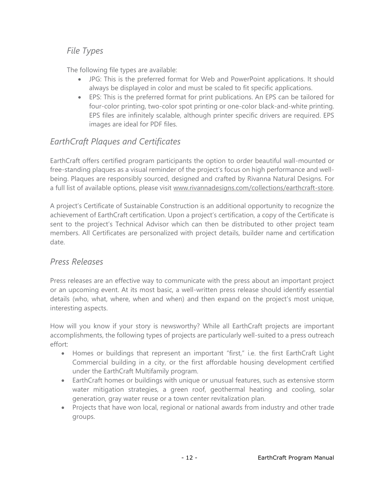#### *File Types*

The following file types are available:

- JPG: This is the preferred format for Web and PowerPoint applications. It should always be displayed in color and must be scaled to fit specific applications.
- EPS: This is the preferred format for print publications. An EPS can be tailored for four-color printing, two-color spot printing or one-color black-and-white printing. EPS files are infinitely scalable, although printer specific drivers are required. EPS images are ideal for PDF files.

### *EarthCraft Plaques and Certificates*

EarthCraft offers certified program participants the option to order beautiful wall-mounted or free-standing plaques as a visual reminder of the project's focus on high performance and wellbeing. Plaques are responsibly sourced, designed and crafted by Rivanna Natural Designs. For a full list of available options, please visit [www.rivannadesigns.com/collections/earthcraft-store.](http://www.rivannadesigns.com/collections/earthcraft-store)

A project's Certificate of Sustainable Construction is an additional opportunity to recognize the achievement of EarthCraft certification. Upon a project's certification, a copy of the Certificate is sent to the project's Technical Advisor which can then be distributed to other project team members. All Certificates are personalized with project details, builder name and certification date.

#### *Press Releases*

Press releases are an effective way to communicate with the press about an important project or an upcoming event. At its most basic, a well-written press release should identify essential details (who, what, where, when and when) and then expand on the project's most unique, interesting aspects.

How will you know if your story is newsworthy? While all EarthCraft projects are important accomplishments, the following types of projects are particularly well-suited to a press outreach effort:

- Homes or buildings that represent an important "first," i.e. the first EarthCraft Light Commercial building in a city, or the first affordable housing development certified under the EarthCraft Multifamily program.
- EarthCraft homes or buildings with unique or unusual features, such as extensive storm water mitigation strategies, a green roof, geothermal heating and cooling, solar generation, gray water reuse or a town center revitalization plan.
- Projects that have won local, regional or national awards from industry and other trade groups.